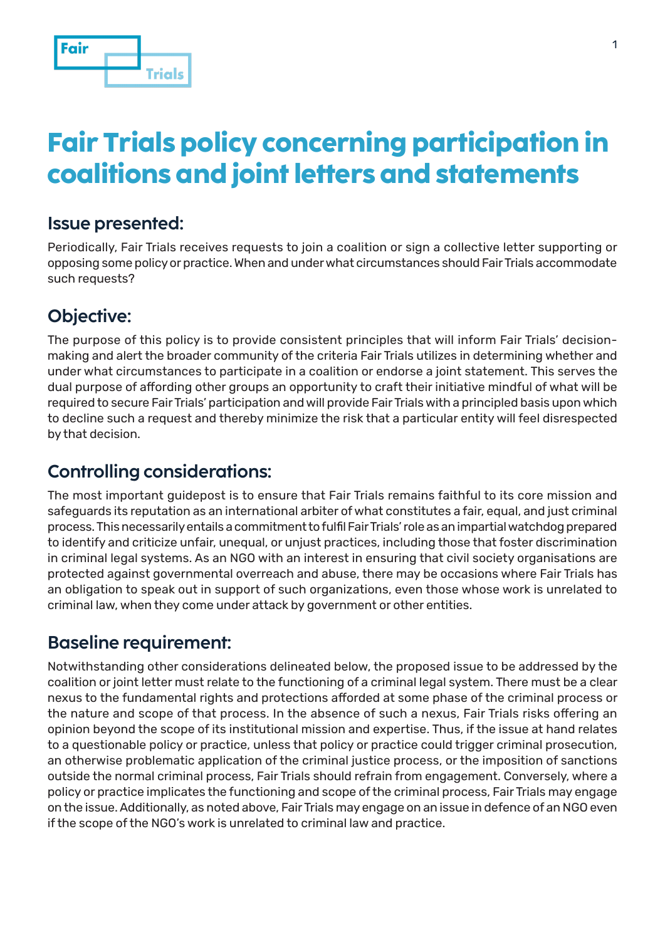

# **Fair Trials policy concerning participation in coalitions and joint letters and statements**

#### **Issue presented:**

Periodically, Fair Trials receives requests to join a coalition or sign a collective letter supporting or opposing some policy or practice. When and under what circumstances should Fair Trials accommodate such requests?

## **Objective:**

The purpose of this policy is to provide consistent principles that will inform Fair Trials' decisionmaking and alert the broader community of the criteria Fair Trials utilizes in determining whether and under what circumstances to participate in a coalition or endorse a joint statement. This serves the dual purpose of affording other groups an opportunity to craft their initiative mindful of what will be required to secure Fair Trials' participation and will provide Fair Trials with a principled basis upon which to decline such a request and thereby minimize the risk that a particular entity will feel disrespected by that decision.

## **Controlling considerations:**

The most important guidepost is to ensure that Fair Trials remains faithful to its core mission and safeguards its reputation as an international arbiter of what constitutes a fair, equal, and just criminal process. This necessarily entails a commitment to fulfil Fair Trials' role as an impartial watchdog prepared to identify and criticize unfair, unequal, or unjust practices, including those that foster discrimination in criminal legal systems. As an NGO with an interest in ensuring that civil society organisations are protected against governmental overreach and abuse, there may be occasions where Fair Trials has an obligation to speak out in support of such organizations, even those whose work is unrelated to criminal law, when they come under attack by government or other entities.

#### **Baseline requirement:**

Notwithstanding other considerations delineated below, the proposed issue to be addressed by the coalition or joint letter must relate to the functioning of a criminal legal system. There must be a clear nexus to the fundamental rights and protections afforded at some phase of the criminal process or the nature and scope of that process. In the absence of such a nexus, Fair Trials risks offering an opinion beyond the scope of its institutional mission and expertise. Thus, if the issue at hand relates to a questionable policy or practice, unless that policy or practice could trigger criminal prosecution, an otherwise problematic application of the criminal justice process, or the imposition of sanctions outside the normal criminal process, Fair Trials should refrain from engagement. Conversely, where a policy or practice implicates the functioning and scope of the criminal process, Fair Trials may engage on the issue. Additionally, as noted above, Fair Trials may engage on an issue in defence of an NGO even if the scope of the NGO's work is unrelated to criminal law and practice.